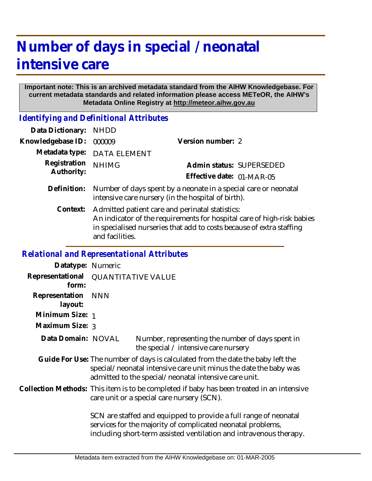## **Number of days in special / neonatal intensive care**

## **Important note: This is an archived metadata standard from the AIHW Knowledgebase. For current metadata standards and related information please access METeOR, the AIHW's Metadata Online Registry at http://meteor.aihw.gov.au**

*Identifying and Definitional Attributes*

| Data Dictionary:           | <b>NHDD</b>                                                                                                                                                                                                          |                           |  |
|----------------------------|----------------------------------------------------------------------------------------------------------------------------------------------------------------------------------------------------------------------|---------------------------|--|
| Knowledgebase ID:          | 000009                                                                                                                                                                                                               | Version number: 2         |  |
| Metadata type:             | <b>DATA ELEMENT</b>                                                                                                                                                                                                  |                           |  |
| Registration<br>Authority: | <b>NHIMG</b>                                                                                                                                                                                                         | Admin status: SUPERSEDED  |  |
|                            |                                                                                                                                                                                                                      | Effective date: 01-MAR-05 |  |
| Definition:                | Number of days spent by a neonate in a special care or neonatal<br>intensive care nursery (in the hospital of birth).                                                                                                |                           |  |
| Context:                   | Admitted patient care and perinatal statistics:<br>An indicator of the requirements for hospital care of high-risk babies<br>in specialised nurseries that add to costs because of extra staffing<br>and facilities. |                           |  |

## *Relational and Representational Attributes*

| Datatype: Numeric         |                                                                                                                                                                                                                                                                                                                                                  |  |  |
|---------------------------|--------------------------------------------------------------------------------------------------------------------------------------------------------------------------------------------------------------------------------------------------------------------------------------------------------------------------------------------------|--|--|
| Representational<br>form: | <b>QUANTITATIVE VALUE</b>                                                                                                                                                                                                                                                                                                                        |  |  |
| Representation<br>layout: | <b>NNN</b>                                                                                                                                                                                                                                                                                                                                       |  |  |
| Minimum Size: 1           |                                                                                                                                                                                                                                                                                                                                                  |  |  |
| Maximum Size: 3           |                                                                                                                                                                                                                                                                                                                                                  |  |  |
| Data Domain: NOVAL        | Number, representing the number of days spent in<br>the special $\angle$ intensive care nursery                                                                                                                                                                                                                                                  |  |  |
|                           | Guide For Use: The number of days is calculated from the date the baby left the<br>special/neonatal intensive care unit minus the date the baby was<br>admitted to the special/neonatal intensive care unit.                                                                                                                                     |  |  |
|                           | Collection Methods: This item is to be completed if baby has been treated in an intensive<br>care unit or a special care nursery (SCN).<br>SCN are staffed and equipped to provide a full range of neonatal<br>services for the majority of complicated neonatal problems,<br>including short-term assisted ventilation and intravenous therapy. |  |  |
|                           |                                                                                                                                                                                                                                                                                                                                                  |  |  |